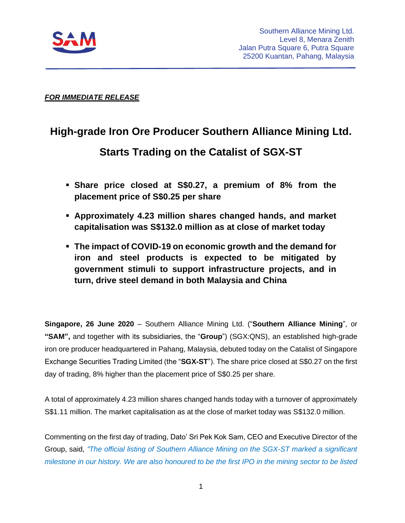

### *FOR IMMEDIATE RELEASE*

## **High-grade Iron Ore Producer Southern Alliance Mining Ltd.**

# **Starts Trading on the Catalist of SGX-ST**

- **Share price closed at S\$0.27, a premium of 8% from the placement price of S\$0.25 per share**
- **Approximately 4.23 million shares changed hands, and market capitalisation was S\$132.0 million as at close of market today**
- **The impact of COVID-19 on economic growth and the demand for iron and steel products is expected to be mitigated by government stimuli to support infrastructure projects, and in turn, drive steel demand in both Malaysia and China**

**Singapore, 26 June 2020** – Southern Alliance Mining Ltd. ("**Southern Alliance Mining**", or **"SAM",** and together with its subsidiaries, the "**Group**") (SGX:QNS), an established high-grade iron ore producer headquartered in Pahang, Malaysia, debuted today on the Catalist of Singapore Exchange Securities Trading Limited (the "**SGX-ST**"). The share price closed at S\$0.27 on the first day of trading, 8% higher than the placement price of S\$0.25 per share.

A total of approximately 4.23 million shares changed hands today with a turnover of approximately S\$1.11 million. The market capitalisation as at the close of market today was S\$132.0 million.

Commenting on the first day of trading, Dato' Sri Pek Kok Sam, CEO and Executive Director of the Group, said, *"The official listing of Southern Alliance Mining on the SGX-ST marked a significant milestone in our history. We are also honoured to be the first IPO in the mining sector to be listed*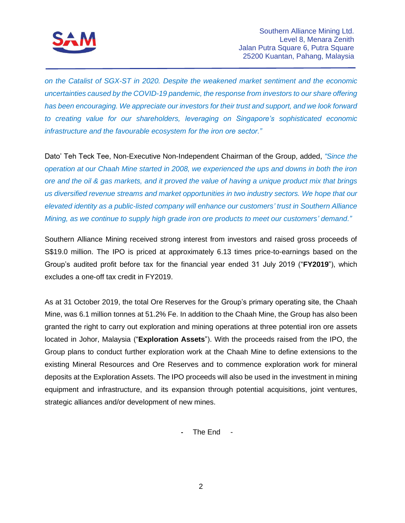

*on the Catalist of SGX-ST in 2020. Despite the weakened market sentiment and the economic uncertainties caused by the COVID-19 pandemic, the response from investors to our share offering has been encouraging. We appreciate our investors for their trust and support, and we look forward to creating value for our shareholders, leveraging on Singapore's sophisticated economic infrastructure and the favourable ecosystem for the iron ore sector."*

Dato' Teh Teck Tee, Non-Executive Non-Independent Chairman of the Group, added, *"Since the operation at our Chaah Mine started in 2008, we experienced the ups and downs in both the iron ore and the oil & gas markets, and it proved the value of having a unique product mix that brings us diversified revenue streams and market opportunities in two industry sectors. We hope that our elevated identity as a public-listed company will enhance our customers' trust in Southern Alliance Mining, as we continue to supply high grade iron ore products to meet our customers' demand."*

Southern Alliance Mining received strong interest from investors and raised gross proceeds of S\$19.0 million. The IPO is priced at approximately 6.13 times price-to-earnings based on the Group's audited profit before tax for the financial year ended 31 July 2019 ("**FY2019**"), which excludes a one-off tax credit in FY2019.

As at 31 October 2019, the total Ore Reserves for the Group's primary operating site, the Chaah Mine, was 6.1 million tonnes at 51.2% Fe. In addition to the Chaah Mine, the Group has also been granted the right to carry out exploration and mining operations at three potential iron ore assets located in Johor, Malaysia ("**Exploration Assets**"). With the proceeds raised from the IPO, the Group plans to conduct further exploration work at the Chaah Mine to define extensions to the existing Mineral Resources and Ore Reserves and to commence exploration work for mineral deposits at the Exploration Assets. The IPO proceeds will also be used in the investment in mining equipment and infrastructure, and its expansion through potential acquisitions, joint ventures, strategic alliances and/or development of new mines.

**-** The End -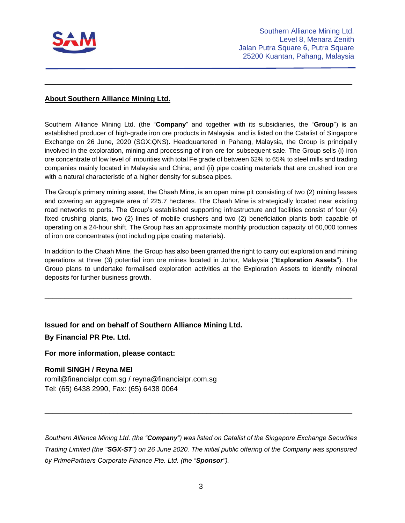

#### **About Southern Alliance Mining Ltd.**

Southern Alliance Mining Ltd. (the "**Company**" and together with its subsidiaries, the "**Group**") is an established producer of high-grade iron ore products in Malaysia, and is listed on the Catalist of Singapore Exchange on 26 June, 2020 (SGX:QNS). Headquartered in Pahang, Malaysia, the Group is principally involved in the exploration, mining and processing of iron ore for subsequent sale. The Group sells (i) iron ore concentrate of low level of impurities with total Fe grade of between 62% to 65% to steel mills and trading companies mainly located in Malaysia and China; and (ii) pipe coating materials that are crushed iron ore with a natural characteristic of a higher density for subsea pipes.

\_\_\_\_\_\_\_\_\_\_\_\_\_\_\_\_\_\_\_\_\_\_\_\_\_\_\_\_\_\_\_\_\_\_\_\_\_\_\_\_\_\_\_\_\_\_\_\_\_\_\_\_\_\_\_\_\_\_\_\_\_\_\_\_\_\_\_\_\_\_\_\_\_\_\_\_

The Group's primary mining asset, the Chaah Mine, is an open mine pit consisting of two (2) mining leases and covering an aggregate area of 225.7 hectares. The Chaah Mine is strategically located near existing road networks to ports. The Group's established supporting infrastructure and facilities consist of four (4) fixed crushing plants, two (2) lines of mobile crushers and two (2) beneficiation plants both capable of operating on a 24-hour shift. The Group has an approximate monthly production capacity of 60,000 tonnes of iron ore concentrates (not including pipe coating materials).

In addition to the Chaah Mine, the Group has also been granted the right to carry out exploration and mining operations at three (3) potential iron ore mines located in Johor, Malaysia ("**Exploration Assets**"). The Group plans to undertake formalised exploration activities at the Exploration Assets to identify mineral deposits for further business growth.

\_\_\_\_\_\_\_\_\_\_\_\_\_\_\_\_\_\_\_\_\_\_\_\_\_\_\_\_\_\_\_\_\_\_\_\_\_\_\_\_\_\_\_\_\_\_\_\_\_\_\_\_\_\_\_\_\_\_\_\_\_\_\_\_\_\_\_\_\_\_\_\_\_\_\_\_

**Issued for and on behalf of Southern Alliance Mining Ltd. By Financial PR Pte. Ltd.** 

**For more information, please contact:**

#### **Romil SINGH / Reyna MEI**

[romil@financialpr.com.sg](mailto:romil@financialpr.com.sg) / [reyna@financialpr.com.sg](mailto:reyna@financialpr.com.sg) Tel: (65) 6438 2990, Fax: (65) 6438 0064

*Southern Alliance Mining Ltd. (the "Company") was listed on Catalist of the Singapore Exchange Securities Trading Limited (the "SGX-ST") on 26 June 2020. The initial public offering of the Company was sponsored by PrimePartners Corporate Finance Pte. Ltd. (the "Sponsor").*

\_\_\_\_\_\_\_\_\_\_\_\_\_\_\_\_\_\_\_\_\_\_\_\_\_\_\_\_\_\_\_\_\_\_\_\_\_\_\_\_\_\_\_\_\_\_\_\_\_\_\_\_\_\_\_\_\_\_\_\_\_\_\_\_\_\_\_\_\_\_\_\_\_\_\_\_